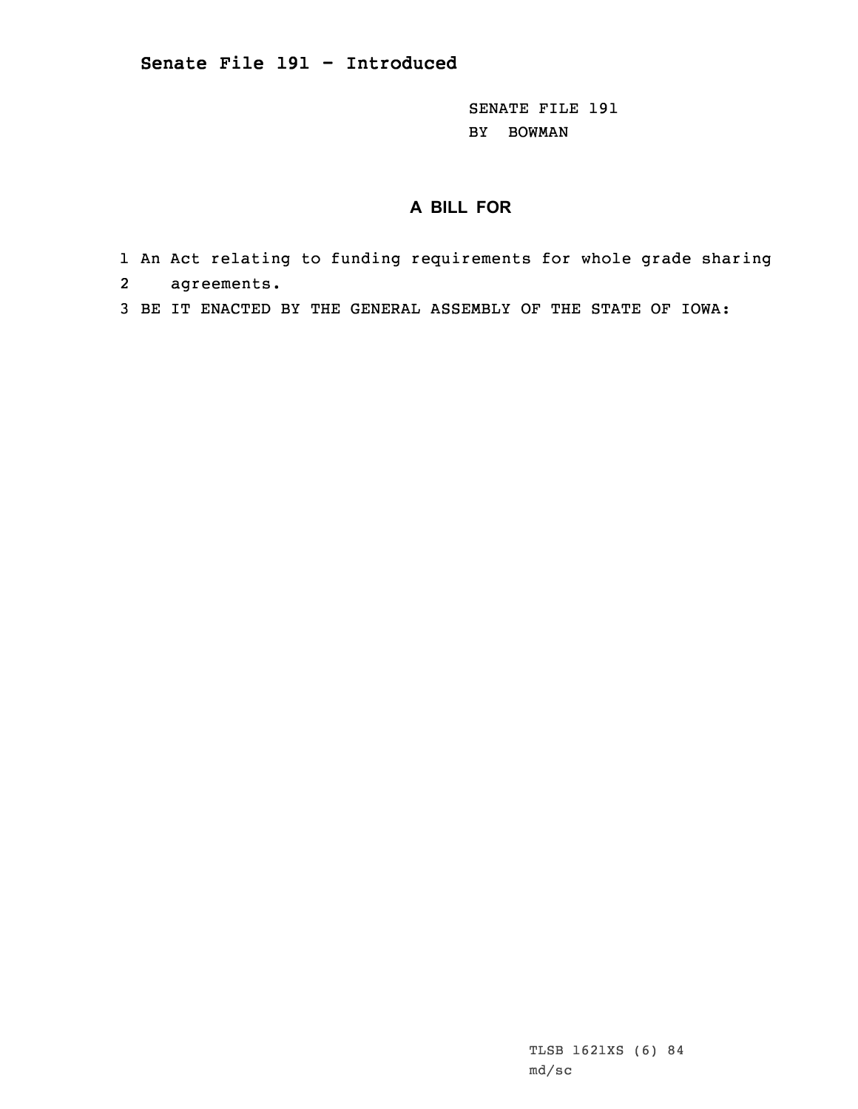SENATE FILE 191 BY BOWMAN

## **A BILL FOR**

- 1 An Act relating to funding requirements for whole grade sharing
- 2agreements.
- 3 BE IT ENACTED BY THE GENERAL ASSEMBLY OF THE STATE OF IOWA: